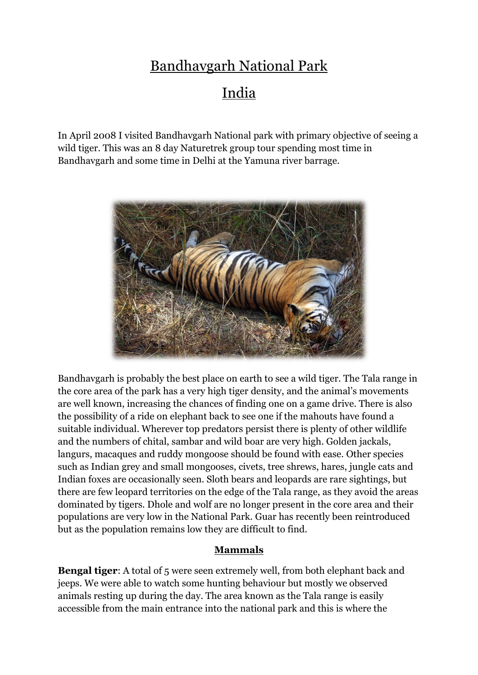## Bandhavgarh National Park India

In April 2008 I visited Bandhavgarh National park with primary objective of seeing a wild tiger. This was an 8 day Naturetrek group tour spending most time in Bandhavgarh and some time in Delhi at the Yamuna river barrage.



Bandhavgarh is probably the best place on earth to see a wild tiger. The Tala range in the core area of the park has a very high tiger density, and the animal's movements are well known, increasing the chances of finding one on a game drive. There is also the possibility of a ride on elephant back to see one if the mahouts have found a suitable individual. Wherever top predators persist there is plenty of other wildlife and the numbers of chital, sambar and wild boar are very high. Golden jackals, langurs, macaques and ruddy mongoose should be found with ease. Other species such as Indian grey and small mongooses, civets, tree shrews, hares, jungle cats and Indian foxes are occasionally seen. Sloth bears and leopards are rare sightings, but there are few leopard territories on the edge of the Tala range, as they avoid the areas dominated by tigers. Dhole and wolf are no longer present in the core area and their populations are very low in the National Park. Guar has recently been reintroduced but as the population remains low they are difficult to find.

## **Mammals**

**Bengal tiger:** A total of 5 were seen extremely well, from both elephant back and jeeps. We were able to watch some hunting behaviour but mostly we observed animals resting up during the day. The area known as the Tala range is easily accessible from the main entrance into the national park and this is where the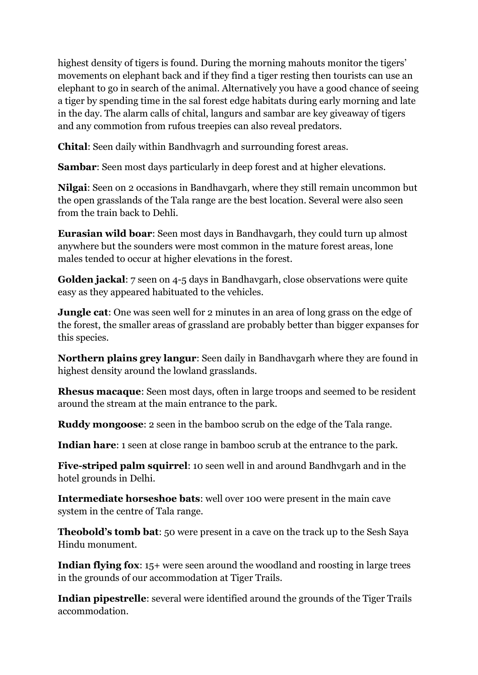highest density of tigers is found. During the morning mahouts monitor the tigers' movements on elephant back and if they find a tiger resting then tourists can use an elephant to go in search of the animal. Alternatively you have a good chance of seeing a tiger by spending time in the sal forest edge habitats during early morning and late in the day. The alarm calls of chital, langurs and sambar are key giveaway of tigers and any commotion from rufous treepies can also reveal predators.

**Chital**: Seen daily within Bandhvagrh and surrounding forest areas.

**Sambar**: Seen most days particularly in deep forest and at higher elevations.

**Nilgai**: Seen on 2 occasions in Bandhavgarh, where they still remain uncommon but the open grasslands of the Tala range are the best location. Several were also seen from the train back to Dehli.

**Eurasian wild boar**: Seen most days in Bandhavgarh, they could turn up almost anywhere but the sounders were most common in the mature forest areas, lone males tended to occur at higher elevations in the forest.

**Golden jackal**: 7 seen on 4-5 days in Bandhavgarh, close observations were quite easy as they appeared habituated to the vehicles.

**Jungle cat**: One was seen well for 2 minutes in an area of long grass on the edge of the forest, the smaller areas of grassland are probably better than bigger expanses for this species.

**Northern plains grey langur**: Seen daily in Bandhavgarh where they are found in highest density around the lowland grasslands.

**Rhesus macaque**: Seen most days, often in large troops and seemed to be resident around the stream at the main entrance to the park.

**Ruddy mongoose**: 2 seen in the bamboo scrub on the edge of the Tala range.

**Indian hare**: 1 seen at close range in bamboo scrub at the entrance to the park.

**Five-striped palm squirrel**: 10 seen well in and around Bandhvgarh and in the hotel grounds in Delhi.

**Intermediate horseshoe bats**: well over 100 were present in the main cave system in the centre of Tala range.

**Theobold's tomb bat**: 50 were present in a cave on the track up to the Sesh Saya Hindu monument.

**Indian flying fox:** 15+ were seen around the woodland and roosting in large trees in the grounds of our accommodation at Tiger Trails.

**Indian pipestrelle**: several were identified around the grounds of the Tiger Trails accommodation.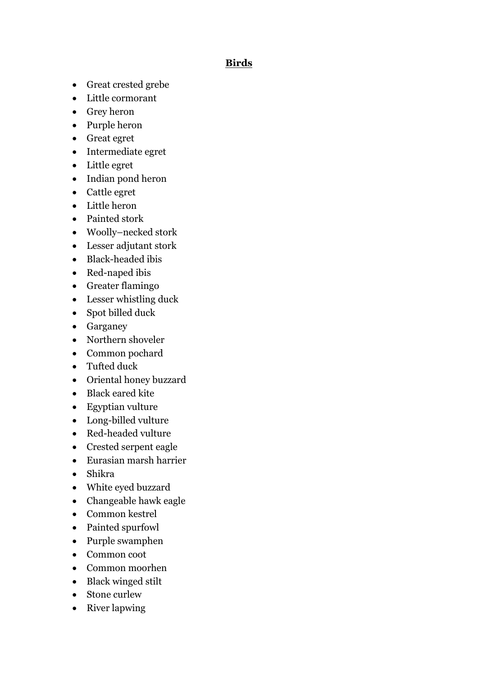## **Birds**

- Great crested grebe
- Little cormorant
- Grey heron
- Purple heron
- Great egret
- Intermediate egret
- Little egret
- Indian pond heron
- Cattle egret
- Little heron
- Painted stork
- Woolly–necked stork
- Lesser adjutant stork
- Black-headed ibis
- Red-naped ibis
- Greater flamingo
- Lesser whistling duck
- Spot billed duck
- Garganey
- Northern shoveler
- Common pochard
- Tufted duck
- Oriental honey buzzard
- Black eared kite
- Egyptian vulture
- Long-billed vulture
- Red-headed vulture
- Crested serpent eagle
- Eurasian marsh harrier
- Shikra
- White eyed buzzard
- Changeable hawk eagle
- Common kestrel
- Painted spurfowl
- Purple swamphen
- Common coot
- Common moorhen
- Black winged stilt
- Stone curlew
- River lapwing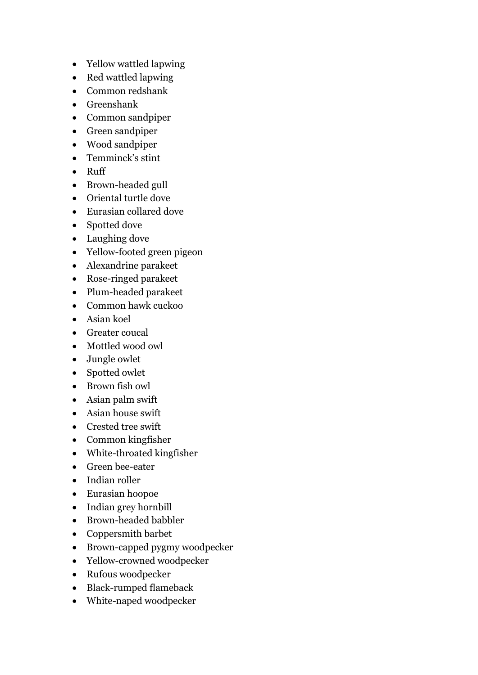- Yellow wattled lapwing
- Red wattled lapwing
- Common redshank
- Greenshank
- Common sandpiper
- Green sandpiper
- Wood sandpiper
- Temminck's stint
- Ruff
- Brown-headed gull
- Oriental turtle dove
- Eurasian collared dove
- Spotted dove
- Laughing dove
- Yellow-footed green pigeon
- Alexandrine parakeet
- Rose-ringed parakeet
- Plum-headed parakeet
- Common hawk cuckoo
- Asian koel
- Greater coucal
- Mottled wood owl
- Jungle owlet
- Spotted owlet
- Brown fish owl
- Asian palm swift
- Asian house swift
- Crested tree swift
- Common kingfisher
- White-throated kingfisher
- Green bee-eater
- Indian roller
- Eurasian hoopoe
- Indian grey hornbill
- Brown-headed babbler
- Coppersmith barbet
- Brown-capped pygmy woodpecker
- Yellow-crowned woodpecker
- Rufous woodpecker
- Black-rumped flameback
- White-naped woodpecker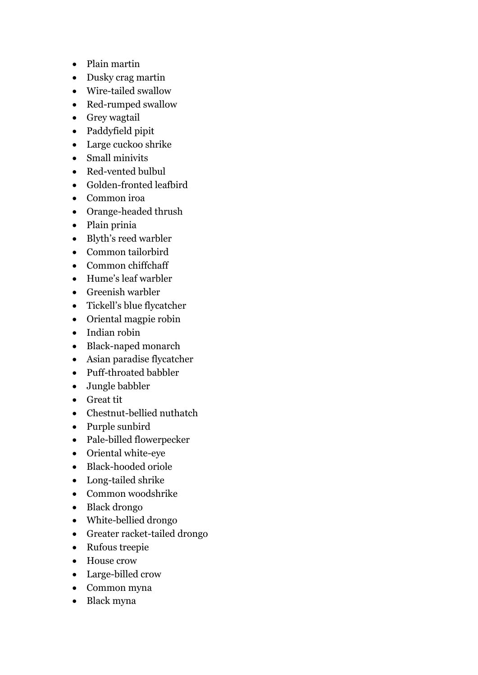- Plain martin
- Dusky crag martin
- Wire-tailed swallow
- Red-rumped swallow
- Grey wagtail
- Paddyfield pipit
- Large cuckoo shrike
- Small minivits
- Red-vented bulbul
- Golden-fronted leafbird
- Common iroa
- Orange-headed thrush
- Plain prinia
- Blyth's reed warbler
- Common tailorbird
- Common chiffchaff
- Hume's leaf warbler
- Greenish warbler
- Tickell's blue flycatcher
- Oriental magpie robin
- Indian robin
- Black-naped monarch
- Asian paradise flycatcher
- Puff-throated babbler
- Jungle babbler
- Great tit
- Chestnut-bellied nuthatch
- Purple sunbird
- Pale-billed flowerpecker
- Oriental white-eye
- Black-hooded oriole
- Long-tailed shrike
- Common woodshrike
- Black drongo
- White-bellied drongo
- Greater racket-tailed drongo
- Rufous treepie
- House crow
- Large-billed crow
- Common myna
- Black myna